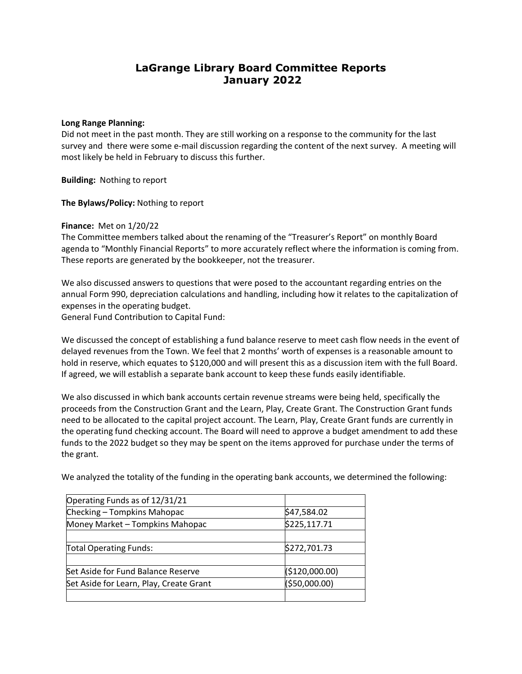# **LaGrange Library Board Committee Reports January 2022**

### **Long Range Planning:**

Did not meet in the past month. They are still working on a response to the community for the last survey and there were some e-mail discussion regarding the content of the next survey. A meeting will most likely be held in February to discuss this further.

**Building:** Nothing to report

**The Bylaws/Policy:** Nothing to report

#### **Finance:** Met on 1/20/22

The Committee members talked about the renaming of the "Treasurer's Report" on monthly Board agenda to "Monthly Financial Reports" to more accurately reflect where the information is coming from. These reports are generated by the bookkeeper, not the treasurer.

We also discussed answers to questions that were posed to the accountant regarding entries on the annual Form 990, depreciation calculations and handling, including how it relates to the capitalization of expenses in the operating budget.

General Fund Contribution to Capital Fund:

We discussed the concept of establishing a fund balance reserve to meet cash flow needs in the event of delayed revenues from the Town. We feel that 2 months' worth of expenses is a reasonable amount to hold in reserve, which equates to \$120,000 and will present this as a discussion item with the full Board. If agreed, we will establish a separate bank account to keep these funds easily identifiable.

We also discussed in which bank accounts certain revenue streams were being held, specifically the proceeds from the Construction Grant and the Learn, Play, Create Grant. The Construction Grant funds need to be allocated to the capital project account. The Learn, Play, Create Grant funds are currently in the operating fund checking account. The Board will need to approve a budget amendment to add these funds to the 2022 budget so they may be spent on the items approved for purchase under the terms of the grant.

| Operating Funds as of 12/31/21          |                |
|-----------------------------------------|----------------|
| Checking - Tompkins Mahopac             | \$47,584.02    |
| Money Market - Tompkins Mahopac         | \$225,117.71   |
|                                         |                |
| Total Operating Funds:                  | \$272,701.73   |
|                                         |                |
| Set Aside for Fund Balance Reserve      | (\$120,000.00) |
| Set Aside for Learn, Play, Create Grant | ( \$50,000.00) |
|                                         |                |

We analyzed the totality of the funding in the operating bank accounts, we determined the following: